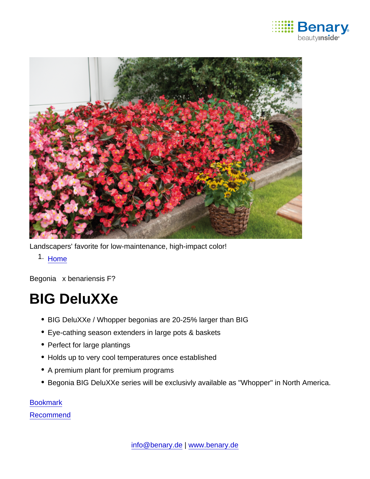

Landscapers' favorite for low-maintenance, high-impact color!

1. [Home](https://www.benary.com/)

Begonia x benariensis F?

# BIG DeluXXe

- BIG DeluXXe / Whopper begonias are 20-25% larger than BIG
- Eye-cathing season extenders in large pots & baskets
- Perfect for large plantings
- Holds up to very cool temperatures once established
- A premium plant for premium programs
- Begonia BIG DeluXXe series will be exclusivly available as "Whopper" in North America.

**[Bookmark](https://www.benary.com/flag/flag/product/5678?destination&token=KWozw1WQtjMGliIu3mmI-wOClpx6Tnv5VrIZ8yPodZQ)** 

[Recommend](mailto:?subject=Benary Begonia x benariensis F₁ &body=https://www.benary.com/print/pdf/node/5678)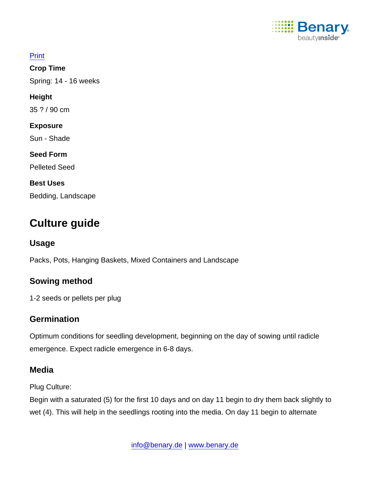

| <b>Print</b>          |
|-----------------------|
| Crop Time             |
| Spring: 14 - 16 weeks |
| Height                |
| 35 ? / 90 cm          |
| Exposure              |
| Sun - Shade           |
| <b>Seed Form</b>      |
| <b>Pelleted Seed</b>  |
| Best Uses             |
| Bedding, Landscape    |

# Culture guide

Usage

Packs, Pots, Hanging Baskets, Mixed Containers and Landscape

Sowing method

1-2 seeds or pellets per plug

# **Germination**

Optimum conditions for seedling development, beginning on the day of sowing until radicle emergence. Expect radicle emergence in 6-8 days.

# **Media**

Plug Culture:

Begin with a saturated (5) for the first 10 days and on day 11 begin to dry them back slightly to wet (4). This will help in the seedlings rooting into the media. On day 11 begin to alternate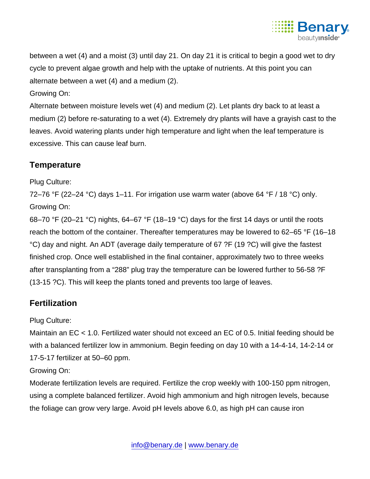

between a wet (4) and a moist (3) until day 21. On day 21 it is critical to begin a good wet to dry cycle to prevent algae growth and help with the uptake of nutrients. At this point you can alternate between a wet (4) and a medium (2).

#### Growing On:

Alternate between moisture levels wet (4) and medium (2). Let plants dry back to at least a medium (2) before re-saturating to a wet (4). Extremely dry plants will have a grayish cast to the leaves. Avoid watering plants under high temperature and light when the leaf temperature is excessive. This can cause leaf burn.

### **Temperature**

#### Plug Culture:

72–76 °F (22–24 °C) days 1–11. For irrigation use warm water (above 64 °F / 18 °C) only. Growing On:

68–70 °F (20–21 °C) nights, 64–67 °F (18–19 °C) days for the first 14 days or until the roots reach the bottom of the container. Thereafter temperatures may be lowered to 62–65 °F (16–18 °C) day and night. An ADT (average daily temperature of 67 ?F (19 ?C) will give the fastest finished crop. Once well established in the final container, approximately two to three weeks after transplanting from a "288" plug tray the temperature can be lowered further to 56-58 ?F (13-15 ?C). This will keep the plants toned and prevents too large of leaves.

# **Fertilization**

#### Plug Culture:

Maintain an EC < 1.0. Fertilized water should not exceed an EC of 0.5. Initial feeding should be with a balanced fertilizer low in ammonium. Begin feeding on day 10 with a 14-4-14, 14-2-14 or 17-5-17 fertilizer at 50–60 ppm.

#### Growing On:

Moderate fertilization levels are required. Fertilize the crop weekly with 100-150 ppm nitrogen, using a complete balanced fertilizer. Avoid high ammonium and high nitrogen levels, because the foliage can grow very large. Avoid pH levels above 6.0, as high pH can cause iron